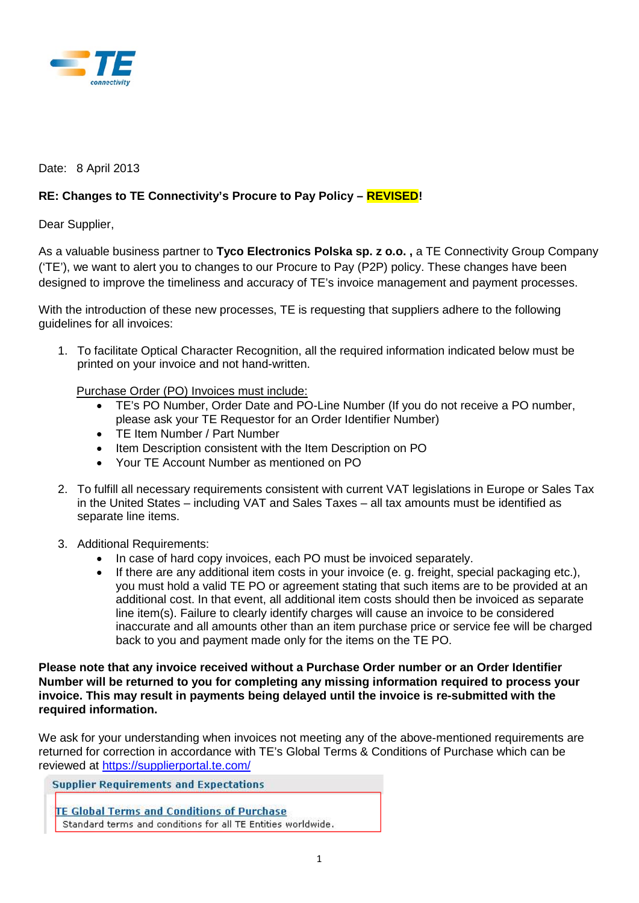

## Date: 8 April 2013

## **RE: Changes to TE Connectivity's Procure to Pay Policy – REVISED!**

Dear Supplier,

As a valuable business partner to **Tyco Electronics Polska sp. z o.o. ,** a TE Connectivity Group Company ('TE'), we want to alert you to changes to our Procure to Pay (P2P) policy. These changes have been designed to improve the timeliness and accuracy of TE's invoice management and payment processes.

With the introduction of these new processes, TE is requesting that suppliers adhere to the following guidelines for all invoices:

1. To facilitate Optical Character Recognition, all the required information indicated below must be printed on your invoice and not hand-written.

Purchase Order (PO) Invoices must include:

- TE's PO Number, Order Date and PO-Line Number (If you do not receive a PO number, please ask your TE Requestor for an Order Identifier Number)
- TE Item Number / Part Number
- Item Description consistent with the Item Description on PO
- Your TE Account Number as mentioned on PO
- 2. To fulfill all necessary requirements consistent with current VAT legislations in Europe or Sales Tax in the United States – including VAT and Sales Taxes – all tax amounts must be identified as separate line items.
- 3. Additional Requirements:
	- In case of hard copy invoices, each PO must be invoiced separately.
	- If there are any additional item costs in your invoice (e. g. freight, special packaging etc.), you must hold a valid TE PO or agreement stating that such items are to be provided at an additional cost. In that event, all additional item costs should then be invoiced as separate line item(s). Failure to clearly identify charges will cause an invoice to be considered inaccurate and all amounts other than an item purchase price or service fee will be charged back to you and payment made only for the items on the TE PO.

**Please note that any invoice received without a Purchase Order number or an Order Identifier Number will be returned to you for completing any missing information required to process your invoice. This may result in payments being delayed until the invoice is re-submitted with the required information.** 

We ask for your understanding when invoices not meeting any of the above-mentioned requirements are returned for correction in accordance with TE's Global Terms & Conditions of Purchase which can be reviewed at<https://supplierportal.te.com/>

**Supplier Requirements and Expectations TE Global Terms and Conditions of Purchase** Standard terms and conditions for all TE Entities worldwide.